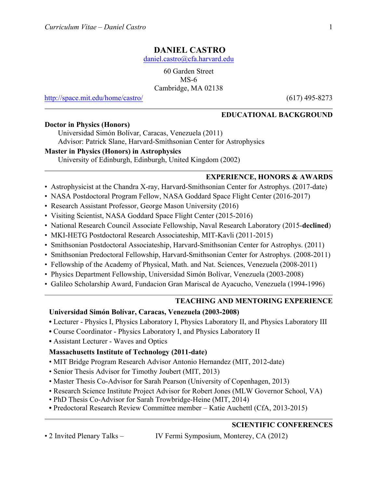# **DANIEL CASTRO**

daniel.castro@cfa.harvard.edu

60 Garden Street MS-6 Cambridge, MA 02138

http://space.mit.edu/home/castro/ (617) 495-8273

### **EDUCATIONAL BACKGROUND**

#### **Doctor in Physics (Honors)**

Universidad Simón Bolívar, Caracas, Venezuela (2011)

Advisor: Patrick Slane, Harvard-Smithsonian Center for Astrophysics

## **Master in Physics (Honors) in Astrophysics**

University of Edinburgh, Edinburgh, United Kingdom (2002)

## **EXPERIENCE, HONORS & AWARDS**

- Astrophysicist at the Chandra X-ray, Harvard-Smithsonian Center for Astrophys. (2017-date)
- NASA Postdoctoral Program Fellow, NASA Goddard Space Flight Center (2016-2017)
- Research Assistant Professor, George Mason University (2016)
- Visiting Scientist, NASA Goddard Space Flight Center (2015-2016)
- National Research Council Associate Fellowship, Naval Research Laboratory (2015-**declined**)
- MKI-HETG Postdoctoral Research Associateship, MIT-Kavli (2011-2015)
- Smithsonian Postdoctoral Associateship, Harvard-Smithsonian Center for Astrophys. (2011)
- Smithsonian Predoctoral Fellowship, Harvard-Smithsonian Center for Astrophys. (2008-2011)
- Fellowship of the Academy of Physical, Math. and Nat. Sciences, Venezuela (2008-2011)
- Physics Department Fellowship, Universidad Simón Bolívar, Venezuela (2003-2008)
- Galileo Scholarship Award, Fundacion Gran Mariscal de Ayacucho, Venezuela (1994-1996)

### **TEACHING AND MENTORING EXPERIENCE**

# **Universidad Simón Bolívar, Caracas, Venezuela (2003-2008)**

- Lecturer Physics I, Physics Laboratory I, Physics Laboratory II, and Physics Laboratory III
- Course Coordinator Physics Laboratory I, and Physics Laboratory II
- Assistant Lecturer Waves and Optics

# **Massachusetts Institute of Technology (2011-date)**

- MIT Bridge Program Research Advisor Antonio Hernandez (MIT, 2012-date)
- Senior Thesis Advisor for Timothy Joubert (MIT, 2013)
- Master Thesis Co-Advisor for Sarah Pearson (University of Copenhagen, 2013)
- Research Science Institute Project Advisor for Robert Jones (MLW Governor School, VA)
- PhD Thesis Co-Advisor for Sarah Trowbridge-Heine (MIT, 2014)
- Predoctoral Research Review Committee member Katie Auchettl (CfA, 2013-2015)

# **SCIENTIFIC CONFERENCES**

• 2 Invited Plenary Talks – IV Fermi Symposium, Monterey, CA (2012)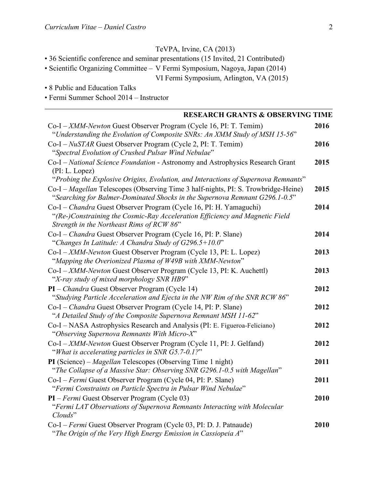# TeVPA, Irvine, CA (2013)

- 36 Scientific conference and seminar presentations (15 Invited, 21 Contributed)
- Scientific Organizing Committee V Fermi Symposium, Nagoya, Japan (2014)

VI Fermi Symposium, Arlington, VA (2015)

- 8 Public and Education Talks
- Fermi Summer School 2014 Instructor

| <b>RESEARCH GRANTS &amp; OBSERVING TIME</b>                                                                                                                                                     |      |
|-------------------------------------------------------------------------------------------------------------------------------------------------------------------------------------------------|------|
| Co-I - XMM-Newton Guest Observer Program (Cycle 16, PI: T. Temim)<br>"Understanding the Evolution of Composite SNRs: An XMM Study of MSH 15-56"                                                 | 2016 |
| Co-I - NuSTAR Guest Observer Program (Cycle 2, PI: T. Temim)<br>"Spectral Evolution of Crushed Pulsar Wind Nebulae"                                                                             | 2016 |
| Co-I - National Science Foundation - Astronomy and Astrophysics Research Grant<br>(PI: L. Lopez)<br>"Probing the Explosive Origins, Evolution, and Interactions of Supernova Remnants"          | 2015 |
| Co-I - Magellan Telescopes (Observing Time 3 half-nights, PI: S. Trowbridge-Heine)<br>"Searching for Balmer-Dominated Shocks in the Supernova Remnant G296.1-0.5"                               | 2015 |
| Co-I – Chandra Guest Observer Program (Cycle 16, PI: H. Yamaguchi)<br>"(Re-)Constraining the Cosmic-Ray Acceleration Efficiency and Magnetic Field<br>Strength in the Northeast Rims of RCW 86" | 2014 |
| Co-I – Chandra Guest Observer Program (Cycle 16, PI: P. Slane)<br>"Changes In Latitude: A Chandra Study of $G296.5+10.0$ "                                                                      | 2014 |
| Co-I - XMM-Newton Guest Observer Program (Cycle 13, PI: L. Lopez)<br>"Mapping the Overionized Plasma of W49B with XMM-Newton"                                                                   | 2013 |
| Co-I - XMM-Newton Guest Observer Program (Cycle 13, PI: K. Auchettl)<br>"X-ray study of mixed morphology SNR HB9"                                                                               | 2013 |
| PI – Chandra Guest Observer Program (Cycle 14)<br>"Studying Particle Acceleration and Ejecta in the NW Rim of the SNR RCW 86"                                                                   | 2012 |
| Co-I – Chandra Guest Observer Program (Cycle 14, PI: P. Slane)<br>"A Detailed Study of the Composite Supernova Remnant MSH 11-62"                                                               | 2012 |
| Co-I – NASA Astrophysics Research and Analysis (PI: E. Figueroa-Feliciano)<br>"Observing Supernova Remnants With Micro-X"                                                                       | 2012 |
| Co-I - XMM-Newton Guest Observer Program (Cycle 11, PI: J. Gelfand)<br>"What is accelerating particles in SNR G5.7-0.1?"                                                                        | 2012 |
| PI (Science) – Magellan Telescopes (Observing Time 1 night)<br>"The Collapse of a Massive Star: Observing SNR G296.1-0.5 with Magellan"                                                         | 2011 |
| Co-I - Fermi Guest Observer Program (Cycle 04, PI: P. Slane)<br>"Fermi Constraints on Particle Spectra in Pulsar Wind Nebulae"                                                                  | 2011 |
| $PI$ – Fermi Guest Observer Program (Cycle 03)<br>"Fermi LAT Observations of Supernova Remnants Interacting with Molecular<br>$Clouds$ "                                                        | 2010 |
| Co-I – Fermi Guest Observer Program (Cycle 03, PI: D. J. Patnaude)<br>"The Origin of the Very High Energy Emission in Cassiopeia A"                                                             | 2010 |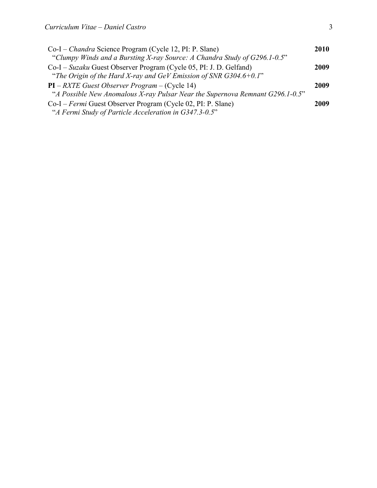| Co-I – Chandra Science Program (Cycle 12, PI: P. Slane)                       | 2010 |
|-------------------------------------------------------------------------------|------|
| "Clumpy Winds and a Bursting X-ray Source: A Chandra Study of G296.1-0.5"     |      |
| Co-I – Suzaku Guest Observer Program (Cycle 05, PI: J. D. Gelfand)            | 2009 |
| "The Origin of the Hard X-ray and GeV Emission of SNR $G304.6+0.1$ "          |      |
| $PI - RXTE$ Guest Observer Program – (Cycle 14)                               | 2009 |
| "A Possible New Anomalous X-ray Pulsar Near the Supernova Remnant G296.1-0.5" |      |
| Co-I – Fermi Guest Observer Program (Cycle 02, PI: P. Slane)                  | 2009 |
| "A Fermi Study of Particle Acceleration in G347.3-0.5"                        |      |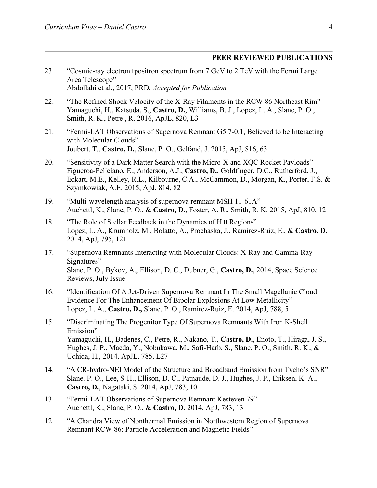### **PEER REVIEWED PUBLICATIONS**

- 23. "Cosmic-ray electron+positron spectrum from 7 GeV to 2 TeV with the Fermi Large Area Telescope" Abdollahi et al., 2017, PRD, *Accepted for Publication*
- 22. "The Refined Shock Velocity of the X-Ray Filaments in the RCW 86 Northeast Rim" Yamaguchi, H., Katsuda, S., **Castro, D.**, Williams, B. J., Lopez, L. A., Slane, P. O., Smith, R. K., Petre , R. 2016, ApJL, 820, L3
- 21. "Fermi-LAT Observations of Supernova Remnant G5.7-0.1, Believed to be Interacting with Molecular Clouds" Joubert, T., **Castro, D.**, Slane, P. O., Gelfand, J. 2015, ApJ, 816, 63
- 20. "Sensitivity of a Dark Matter Search with the Micro-X and XQC Rocket Payloads" Figueroa-Feliciano, E., Anderson, A.J., **Castro, D.**, Goldfinger, D.C., Rutherford, J., Eckart, M.E., Kelley, R.L., Kilbourne, C.A., McCammon, D., Morgan, K., Porter, F.S. & Szymkowiak, A.E. 2015, ApJ, 814, 82
- 19. "Multi-wavelength analysis of supernova remnant MSH 11-61A" Auchettl, K., Slane, P. O., & **Castro, D.**, Foster, A. R., Smith, R. K. 2015, ApJ, 810, 12
- 18. "The Role of Stellar Feedback in the Dynamics of H II Regions" Lopez, L. A., Krumholz, M., Bolatto, A., Prochaska, J., Ramirez-Ruiz, E., & **Castro, D.** 2014, ApJ, 795, 121
- 17. "Supernova Remnants Interacting with Molecular Clouds: X-Ray and Gamma-Ray Signatures" Slane, P. O., Bykov, A., Ellison, D. C., Dubner, G., **Castro, D.**, 2014, Space Science Reviews, July Issue
- 16. "Identification Of A Jet-Driven Supernova Remnant In The Small Magellanic Cloud: Evidence For The Enhancement Of Bipolar Explosions At Low Metallicity" Lopez, L. A., **Castro, D.,** Slane, P. O., Ramirez-Ruiz, E. 2014, ApJ, 788, 5
- 15. "Discriminating The Progenitor Type Of Supernova Remnants With Iron K-Shell Emission" Yamaguchi, H., Badenes, C., Petre, R., Nakano, T., **Castro, D.**, Enoto, T., Hiraga, J. S., Hughes, J. P., Maeda, Y., Nobukawa, M., Safi-Harb, S., Slane, P. O., Smith, R. K., & Uchida, H., 2014, ApJL, 785, L27
- 14. "A CR-hydro-NEI Model of the Structure and Broadband Emission from Tycho's SNR" Slane, P. O., Lee, S-H., Ellison, D. C., Patnaude, D. J., Hughes, J. P., Eriksen, K. A., **Castro, D.**, Nagataki, S. 2014, ApJ, 783, 10
- 13. "Fermi-LAT Observations of Supernova Remnant Kesteven 79" Auchettl, K., Slane, P. O., & **Castro, D.** 2014, ApJ, 783, 13
- 12. "A Chandra View of Nonthermal Emission in Northwestern Region of Supernova Remnant RCW 86: Particle Acceleration and Magnetic Fields"